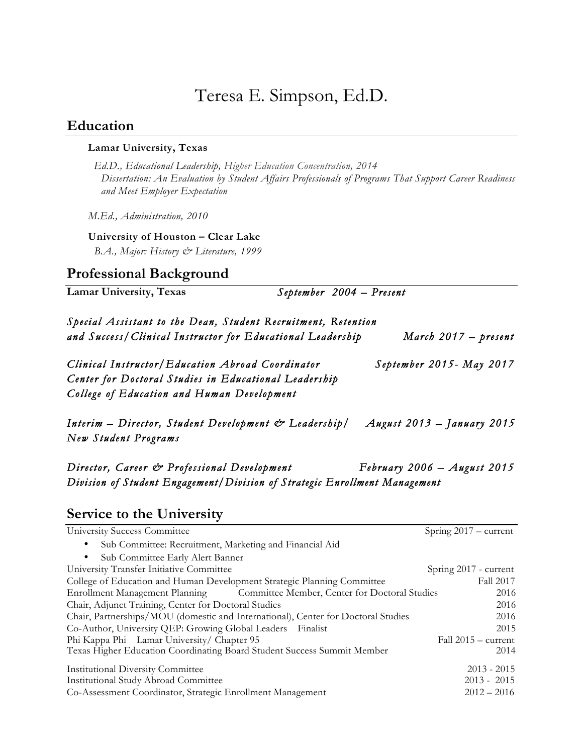# Teresa E. Simpson, Ed.D.

#### **Education**

#### **Lamar University, Texas**

 *Ed.D., Educational Leadership, Higher Education Concentration, 2014 Dissertation: An Evaluation by Student Affairs Professionals of Programs That Support Career Readiness and Meet Employer Expectation* 

*M.Ed., Administration, 2010*

**University of Houston – Clear Lake**

 *B.A., Major: History & Literature, 1999*

## **Professional Background**

| Lamar University, Texas                                                                                                     | September 2004 – Present |                        |
|-----------------------------------------------------------------------------------------------------------------------------|--------------------------|------------------------|
| Special Assistant to the Dean, Student Recruitment, Retention<br>and Success/Clinical Instructor for Educational Leadership |                          | March $2017 - present$ |
|                                                                                                                             |                          |                        |

*Clinical Instructor/Education Abroad Coordinator September 2015- May 2017 Center for Doctoral Stu dies in Educational Leadership College of Education and Human Development* 

*Interim – Director, Student Development & Leadership/ August 2013 – January 2015 New Student Programs* 

*Director, Career & Professional Development February 2006 – August 2015 Division of Student Engagement/Division of Strategic Enrollment Management* 

## **Service to the University**

| University Success Committee                                                      | Spring $2017 - current$ |
|-----------------------------------------------------------------------------------|-------------------------|
| Sub Committee: Recruitment, Marketing and Financial Aid<br>$\bullet$              |                         |
| Sub Committee Early Alert Banner<br>٠                                             |                         |
| University Transfer Initiative Committee                                          | Spring 2017 - current   |
| College of Education and Human Development Strategic Planning Committee           | Fall 2017               |
| Enrollment Management Planning Committee Member, Center for Doctoral Studies      | 2016                    |
| Chair, Adjunct Training, Center for Doctoral Studies                              | 2016                    |
| Chair, Partnerships/MOU (domestic and International), Center for Doctoral Studies | 2016                    |
| Co-Author, University QEP: Growing Global Leaders Finalist                        | 2015                    |
| Phi Kappa Phi Lamar University/ Chapter 95                                        | Fall $2015 - current$   |
| Texas Higher Education Coordinating Board Student Success Summit Member           | 2014                    |
| <b>Institutional Diversity Committee</b>                                          | $2013 - 2015$           |
| <b>Institutional Study Abroad Committee</b>                                       | $2013 - 2015$           |
| Co-Assessment Coordinator, Strategic Enrollment Management                        | $2012 - 2016$           |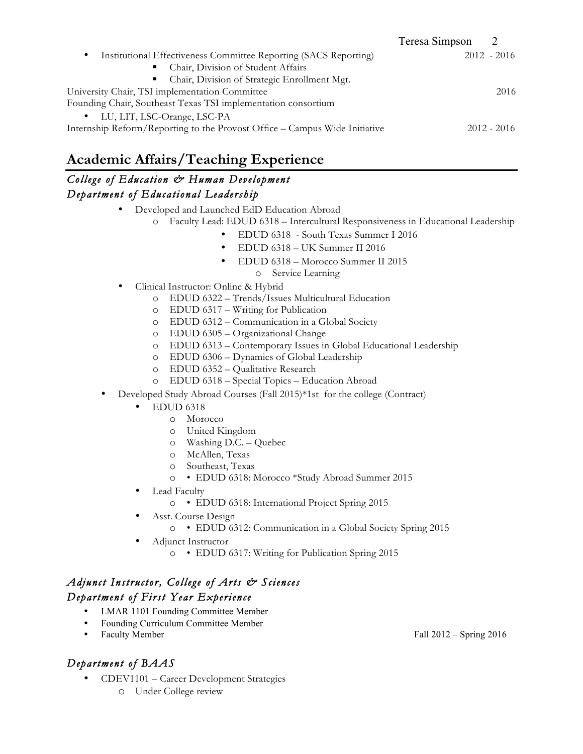|                                                                            | Teresa Simpson |               |
|----------------------------------------------------------------------------|----------------|---------------|
| Institutional Effectiveness Committee Reporting (SACS Reporting)<br>٠      |                | $2012 - 2016$ |
| Chair, Division of Student Affairs<br>٠                                    |                |               |
| Chair, Division of Strategic Enrollment Mgt.<br>п.                         |                |               |
| University Chair, TSI implementation Committee                             |                | 2016          |
| Founding Chair, Southeast Texas TSI implementation consortium              |                |               |
| • LU, LIT, LSC-Orange, LSC-PA                                              |                |               |
| Internship Reform/Reporting to the Provost Office – Campus Wide Initiative |                | $2012 - 2016$ |
|                                                                            |                |               |

# **Academic Affairs/Teaching Experience**

#### *College of Education & Human Development Department of Educational Leadership*

- Developed and Launched EdD Education Abroad
	- o Faculty Lead: EDUD 6318 Intercultural Responsiveness in Educational Leadership
		- EDUD 6318 South Texas Summer I 2016
			- EDUD 6318 UK Summer II 2016
		- EDUD 6318 Morocco Summer II 2015
			- o Service Learning
- Clinical Instructor: Online & Hybrid
	- o EDUD 6322 Trends/Issues Multicultural Education
	- o EDUD 6317 Writing for Publication
	- o EDUD 6312 Communication in a Global Society
	- o EDUD 6305 Organizational Change
	- o EDUD 6313 Contemporary Issues in Global Educational Leadership
	- o EDUD 6306 Dynamics of Global Leadership
	- o EDUD 6352 Qualitative Research
	- o EDUD 6318 Special Topics Education Abroad
- Developed Study Abroad Courses (Fall 2015)\*1st for the college (Contract)
	- EDUD 6318
		- o Morocco
		- o United Kingdom
		- o Washing D.C. Quebec
		- o McAllen, Texas
		- o Southeast, Texas
		- o EDUD 6318: Morocco \*Study Abroad Summer 2015
	- Lead Faculty
		- o EDUD 6318: International Project Spring 2015
		- Asst. Course Design
			- o EDUD 6312: Communication in a Global Society Spring 2015
	- Adjunct Instructor
		- o EDUD 6317: Writing for Publication Spring 2015

#### *Adjunct Instructor, College of Arts & Sciences Department of First Year Experience*

- LMAR 1101 Founding Committee Member
- Founding Curriculum Committee Member
- 

## *Department of BAAS*

- CDEV1101 Career Development Strategies
	- o Under College review

Fall  $2012$  – Spring  $2016$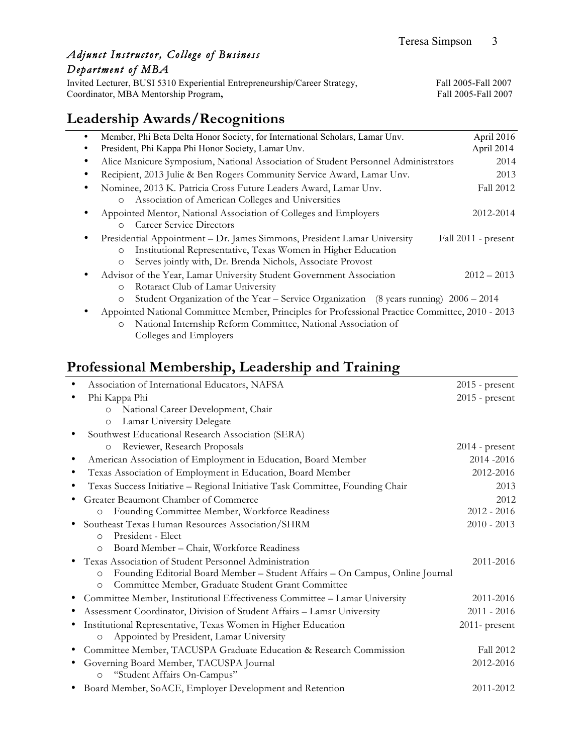## *Adjunct Instructor, College of Business Department of MBA*

Invited Lecturer, BUSI 5310 Experiential Entrepreneurship/Career Strategy, Fall 2005-Fall 2007<br>Coordinator, MBA Mentorship Program, Fall 2005-Fall 2007 Coordinator, MBA Mentorship Program,

## **Leadership Awards/Recognitions**

| Member, Phi Beta Delta Honor Society, for International Scholars, Lamar Unv.                       | April 2016          |
|----------------------------------------------------------------------------------------------------|---------------------|
| President, Phi Kappa Phi Honor Society, Lamar Unv.                                                 | April 2014          |
| Alice Manicure Symposium, National Association of Student Personnel Administrators                 | 2014                |
| Recipient, 2013 Julie & Ben Rogers Community Service Award, Lamar Unv.                             | 2013                |
| Nominee, 2013 K. Patricia Cross Future Leaders Award, Lamar Unv.                                   | Fall 2012           |
| Association of American Colleges and Universities<br>$\circ$                                       |                     |
| Appointed Mentor, National Association of Colleges and Employers                                   | 2012-2014           |
| <b>Career Service Directors</b><br>$\circ$                                                         |                     |
| Presidential Appointment - Dr. James Simmons, President Lamar University                           | Fall 2011 - present |
| Institutional Representative, Texas Women in Higher Education<br>$\circ$                           |                     |
| Serves jointly with, Dr. Brenda Nichols, Associate Provost<br>$\circ$                              |                     |
| Advisor of the Year, Lamar University Student Government Association                               | $2012 - 2013$       |
| Rotaract Club of Lamar University<br>$\circ$                                                       |                     |
| Student Organization of the Year – Service Organization (8 years running) $2006 - 2014$<br>$\circ$ |                     |
|                                                                                                    |                     |

• Appointed National Committee Member, Principles for Professional Practice Committee, 2010 - 2013 o National Internship Reform Committee, National Association of Colleges and Employers

## **Professional Membership, Leadership and Training**

| Association of International Educators, NAFSA                                            | $2015$ - present |
|------------------------------------------------------------------------------------------|------------------|
| Phi Kappa Phi                                                                            | $2015$ - present |
| National Career Development, Chair<br>$\circ$                                            |                  |
| Lamar University Delegate<br>$\circ$                                                     |                  |
| Southwest Educational Research Association (SERA)                                        |                  |
| Reviewer, Research Proposals<br>$\circ$                                                  | $2014$ - present |
| American Association of Employment in Education, Board Member                            | 2014-2016        |
| Texas Association of Employment in Education, Board Member                               | 2012-2016        |
| Texas Success Initiative - Regional Initiative Task Committee, Founding Chair            | 2013             |
| Greater Beaumont Chamber of Commerce                                                     | 2012             |
| Founding Committee Member, Workforce Readiness<br>$\circ$                                | $2012 - 2016$    |
| Southeast Texas Human Resources Association/SHRM                                         | $2010 - 2013$    |
| President - Elect<br>$\circ$                                                             |                  |
| Board Member - Chair, Workforce Readiness<br>$\circ$                                     |                  |
| Texas Association of Student Personnel Administration                                    | 2011-2016        |
| Founding Editorial Board Member - Student Affairs - On Campus, Online Journal<br>$\circ$ |                  |
| Committee Member, Graduate Student Grant Committee<br>$\circ$                            |                  |
| Committee Member, Institutional Effectiveness Committee - Lamar University               | 2011-2016        |
| Assessment Coordinator, Division of Student Affairs - Lamar University                   | $2011 - 2016$    |
| Institutional Representative, Texas Women in Higher Education                            | $2011$ - present |
| Appointed by President, Lamar University<br>$\circ$                                      |                  |
| Committee Member, TACUSPA Graduate Education & Research Commission                       | Fall 2012        |
| Governing Board Member, TACUSPA Journal                                                  | 2012-2016        |
| "Student Affairs On-Campus"<br>$\circ$                                                   |                  |
| • Board Member, SoACE, Employer Development and Retention                                | 2011-2012        |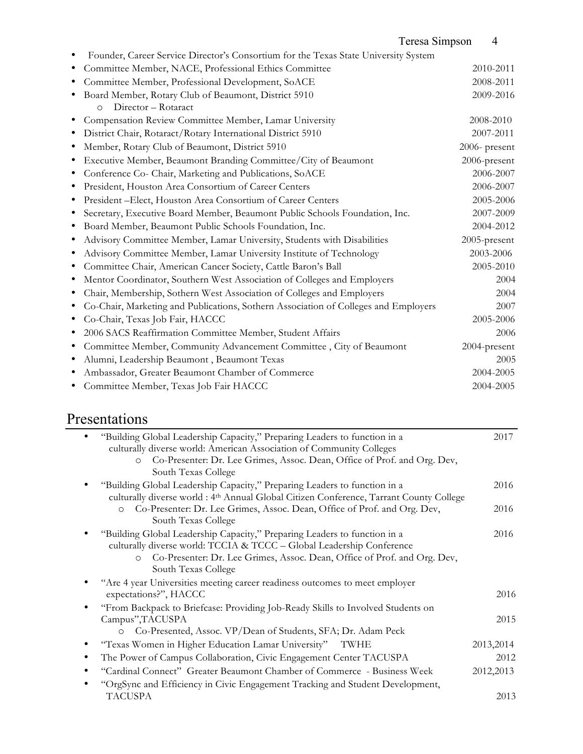## Teresa Simpson 4

|   | Founder, Career Service Director's Consortium for the Texas State University System |               |
|---|-------------------------------------------------------------------------------------|---------------|
|   | Committee Member, NACE, Professional Ethics Committee                               | 2010-2011     |
|   | Committee Member, Professional Development, SoACE                                   | 2008-2011     |
|   | Board Member, Rotary Club of Beaumont, District 5910                                | 2009-2016     |
|   | Director - Rotaract<br>$\circ$                                                      |               |
|   | Compensation Review Committee Member, Lamar University                              | 2008-2010     |
|   | District Chair, Rotaract/Rotary International District 5910                         | 2007-2011     |
|   | Member, Rotary Club of Beaumont, District 5910                                      | 2006- present |
|   | Executive Member, Beaumont Branding Committee/City of Beaumont                      | 2006-present  |
|   | Conference Co- Chair, Marketing and Publications, SoACE                             | 2006-2007     |
|   | President, Houston Area Consortium of Career Centers                                | 2006-2007     |
|   | President -Elect, Houston Area Consortium of Career Centers                         | 2005-2006     |
|   | Secretary, Executive Board Member, Beaumont Public Schools Foundation, Inc.         | 2007-2009     |
|   | Board Member, Beaumont Public Schools Foundation, Inc.                              | 2004-2012     |
|   | Advisory Committee Member, Lamar University, Students with Disabilities             | 2005-present  |
|   | Advisory Committee Member, Lamar University Institute of Technology                 | 2003-2006     |
|   | Committee Chair, American Cancer Society, Cattle Baron's Ball                       | 2005-2010     |
|   | Mentor Coordinator, Southern West Association of Colleges and Employers             | 2004          |
|   | Chair, Membership, Sothern West Association of Colleges and Employers               | 2004          |
|   | Co-Chair, Marketing and Publications, Sothern Association of Colleges and Employers | 2007          |
|   | Co-Chair, Texas Job Fair, HACCC                                                     | 2005-2006     |
|   | 2006 SACS Reaffirmation Committee Member, Student Affairs                           | 2006          |
| ٠ | Committee Member, Community Advancement Committee, City of Beaumont                 | 2004-present  |
|   | Alumni, Leadership Beaumont, Beaumont Texas                                         | 2005          |
|   | Ambassador, Greater Beaumont Chamber of Commerce                                    | 2004-2005     |
|   | Committee Member, Texas Job Fair HACCC                                              | 2004-2005     |

# Presentations

| "Building Global Leadership Capacity," Preparing Leaders to function in a               | 2017       |
|-----------------------------------------------------------------------------------------|------------|
| culturally diverse world: American Association of Community Colleges                    |            |
| Co-Presenter: Dr. Lee Grimes, Assoc. Dean, Office of Prof. and Org. Dev,<br>$\Omega$    |            |
| South Texas College                                                                     |            |
| "Building Global Leadership Capacity," Preparing Leaders to function in a               | 2016       |
| culturally diverse world : 4th Annual Global Citizen Conference, Tarrant County College |            |
| Co-Presenter: Dr. Lee Grimes, Assoc. Dean, Office of Prof. and Org. Dev,<br>$\circ$     | 2016       |
| South Texas College                                                                     |            |
| "Building Global Leadership Capacity," Preparing Leaders to function in a               | 2016       |
| culturally diverse world: TCCIA & TCCC - Global Leadership Conference                   |            |
| Co-Presenter: Dr. Lee Grimes, Assoc. Dean, Office of Prof. and Org. Dev,<br>$\Omega$    |            |
| South Texas College                                                                     |            |
| "Are 4 year Universities meeting career readiness outcomes to meet employer             |            |
| expectations?", HACCC                                                                   | 2016       |
| "From Backpack to Briefcase: Providing Job-Ready Skills to Involved Students on         |            |
| Campus", TACUSPA                                                                        | 2015       |
| Co-Presented, Assoc. VP/Dean of Students, SFA; Dr. Adam Peck<br>$\circ$                 |            |
| "Texas Women in Higher Education Lamar University"<br>TWHE                              | 2013,2014  |
| The Power of Campus Collaboration, Civic Engagement Center TACUSPA                      | 2012       |
| "Cardinal Connect" Greater Beaumont Chamber of Commerce - Business Week                 | 2012, 2013 |
| "OrgSync and Efficiency in Civic Engagement Tracking and Student Development,           |            |
| <b>TACUSPA</b>                                                                          | 2013       |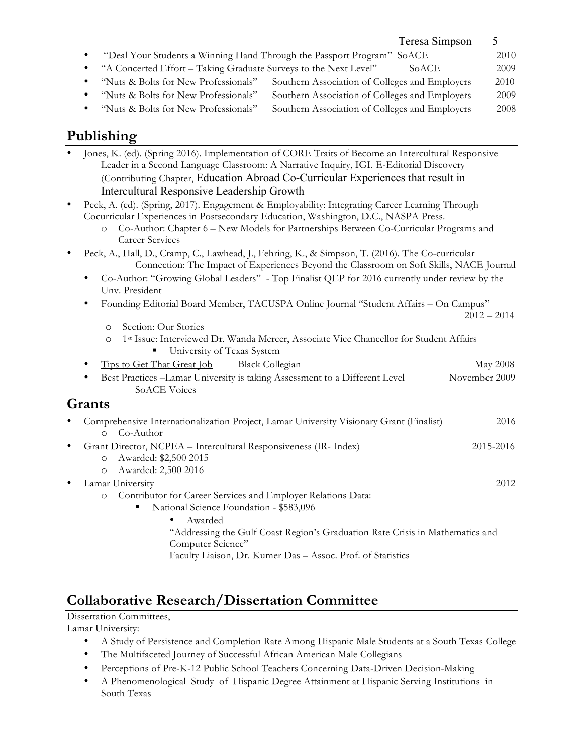| Teresa Simpson                                                                              |      |
|---------------------------------------------------------------------------------------------|------|
| "Deal Your Students a Winning Hand Through the Passport Program" SoACE<br>$\bullet$         | 2010 |
| • "A Concerted Effort – Taking Graduate Surveys to the Next Level"<br>SoACE                 | 2009 |
| Southern Association of Colleges and Employers<br>"Nuts & Bolts for New Professionals"<br>٠ | 2010 |
| Southern Association of Colleges and Employers<br>"Nuts & Bolts for New Professionals"<br>٠ | 2009 |
| Southern Association of Colleges and Employers<br>"Nuts & Bolts for New Professionals"<br>٠ | 2008 |
|                                                                                             |      |
| Publishing                                                                                  |      |

# **Publishing**

| $\bullet$ | Jones, K. (ed). (Spring 2016). Implementation of CORE Traits of Become an Intercultural Responsive<br>Leader in a Second Language Classroom: A Narrative Inquiry, IGI. E-Editorial Discovery<br>(Contributing Chapter, Education Abroad Co-Curricular Experiences that result in                                    |               |  |
|-----------|---------------------------------------------------------------------------------------------------------------------------------------------------------------------------------------------------------------------------------------------------------------------------------------------------------------------|---------------|--|
|           | Intercultural Responsive Leadership Growth                                                                                                                                                                                                                                                                          |               |  |
| $\bullet$ | Peck, A. (ed). (Spring, 2017). Engagement & Employability: Integrating Career Learning Through<br>Cocurricular Experiences in Postsecondary Education, Washington, D.C., NASPA Press.<br>Co-Author: Chapter 6 - New Models for Partnerships Between Co-Curricular Programs and<br>$\circ$<br><b>Career Services</b> |               |  |
| $\bullet$ | Peck, A., Hall, D., Cramp, C., Lawhead, J., Fehring, K., & Simpson, T. (2016). The Co-curricular<br>Connection: The Impact of Experiences Beyond the Classroom on Soft Skills, NACE Journal<br>Co-Author: "Growing Global Leaders" - Top Finalist QEP for 2016 currently under review by the<br>Unv. President      |               |  |
|           | Founding Editorial Board Member, TACUSPA Online Journal "Student Affairs - On Campus"<br>٠                                                                                                                                                                                                                          | $2012 - 2014$ |  |
|           | Section: Our Stories<br>$\Omega$<br>1st Issue: Interviewed Dr. Wanda Mercer, Associate Vice Chancellor for Student Affairs<br>$\circ$<br>University of Texas System                                                                                                                                                 |               |  |
|           | Tips to Get That Great Job<br><b>Black Collegian</b>                                                                                                                                                                                                                                                                | May 2008      |  |
|           | Best Practices -Lamar University is taking Assessment to a Different Level<br><b>SoACE Voices</b>                                                                                                                                                                                                                   | November 2009 |  |
|           | <b>Grants</b>                                                                                                                                                                                                                                                                                                       |               |  |
| $\bullet$ | Comprehensive Internationalization Project, Lamar University Visionary Grant (Finalist)<br>Co-Author<br>$\circ$                                                                                                                                                                                                     | 2016          |  |
| $\bullet$ | Grant Director, NCPEA - Intercultural Responsiveness (IR- Index)<br>Awarded: \$2,500 2015<br>$\circ$<br>Awarded: 2,500 2016<br>$\circ$                                                                                                                                                                              | 2015-2016     |  |
| $\bullet$ | Lamar University<br>Contributor for Career Services and Employer Relations Data:<br>$\circ$<br>National Science Foundation - \$583,096                                                                                                                                                                              | 2012          |  |
|           | Awarded<br>"Addressing the Gulf Coast Region's Graduation Rate Crisis in Mathematics and<br>Computer Science"<br>Faculty Liaison, Dr. Kumer Das - Assoc. Prof. of Statistics                                                                                                                                        |               |  |
|           |                                                                                                                                                                                                                                                                                                                     |               |  |

# **Collaborative Research/Dissertation Committee**

Dissertation Committees,

Lamar University:

- A Study of Persistence and Completion Rate Among Hispanic Male Students at a South Texas College
- The Multifaceted Journey of Successful African American Male Collegians
- Perceptions of Pre-K-12 Public School Teachers Concerning Data-Driven Decision-Making
- A Phenomenological Study of Hispanic Degree Attainment at Hispanic Serving Institutions in South Texas